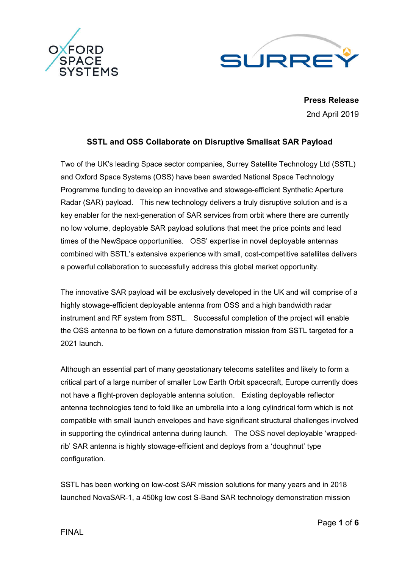



**Press Release** 2nd April 2019

# **SSTL and OSS Collaborate on Disruptive Smallsat SAR Payload**

Two of the UK's leading Space sector companies, Surrey Satellite Technology Ltd (SSTL) and Oxford Space Systems (OSS) have been awarded National Space Technology Programme funding to develop an innovative and stowage-efficient Synthetic Aperture Radar (SAR) payload. This new technology delivers a truly disruptive solution and is a key enabler for the next-generation of SAR services from orbit where there are currently no low volume, deployable SAR payload solutions that meet the price points and lead times of the NewSpace opportunities. OSS' expertise in novel deployable antennas combined with SSTL's extensive experience with small, cost-competitive satellites delivers a powerful collaboration to successfully address this global market opportunity.

The innovative SAR payload will be exclusively developed in the UK and will comprise of a highly stowage-efficient deployable antenna from OSS and a high bandwidth radar instrument and RF system from SSTL. Successful completion of the project will enable the OSS antenna to be flown on a future demonstration mission from SSTL targeted for a 2021 launch.

Although an essential part of many geostationary telecoms satellites and likely to form a critical part of a large number of smaller Low Earth Orbit spacecraft, Europe currently does not have a flight-proven deployable antenna solution. Existing deployable reflector antenna technologies tend to fold like an umbrella into a long cylindrical form which is not compatible with small launch envelopes and have significant structural challenges involved in supporting the cylindrical antenna during launch. The OSS novel deployable 'wrappedrib' SAR antenna is highly stowage-efficient and deploys from a 'doughnut' type configuration.

SSTL has been working on low-cost SAR mission solutions for many years and in 2018 launched NovaSAR-1, a 450kg low cost S-Band SAR technology demonstration mission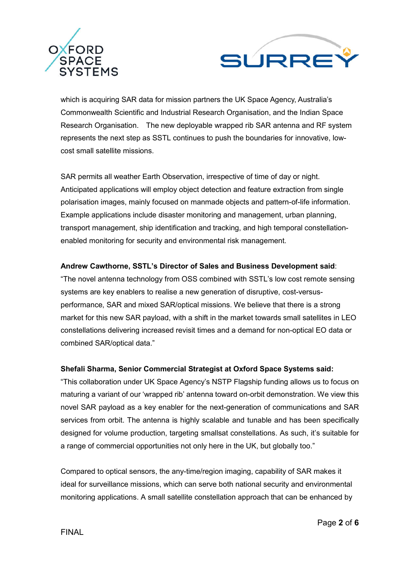



which is acquiring SAR data for mission partners the UK Space Agency, Australia's Commonwealth Scientific and Industrial Research Organisation, and the Indian Space Research Organisation. The new deployable wrapped rib SAR antenna and RF system represents the next step as SSTL continues to push the boundaries for innovative, lowcost small satellite missions.

SAR permits all weather Earth Observation, irrespective of time of day or night. Anticipated applications will employ object detection and feature extraction from single polarisation images, mainly focused on manmade objects and pattern-of-life information. Example applications include disaster monitoring and management, urban planning, transport management, ship identification and tracking, and high temporal constellationenabled monitoring for security and environmental risk management.

### **Andrew Cawthorne, SSTL's Director of Sales and Business Development said**:

"The novel antenna technology from OSS combined with SSTL's low cost remote sensing systems are key enablers to realise a new generation of disruptive, cost-versusperformance, SAR and mixed SAR/optical missions. We believe that there is a strong market for this new SAR payload, with a shift in the market towards small satellites in LEO constellations delivering increased revisit times and a demand for non-optical EO data or combined SAR/optical data."

### **Shefali Sharma, Senior Commercial Strategist at Oxford Space Systems said:**

"This collaboration under UK Space Agency's NSTP Flagship funding allows us to focus on maturing a variant of our 'wrapped rib' antenna toward on-orbit demonstration. We view this novel SAR payload as a key enabler for the next-generation of communications and SAR services from orbit. The antenna is highly scalable and tunable and has been specifically designed for volume production, targeting smallsat constellations. As such, it's suitable for a range of commercial opportunities not only here in the UK, but globally too."

Compared to optical sensors, the any-time/region imaging, capability of SAR makes it ideal for surveillance missions, which can serve both national security and environmental monitoring applications. A small satellite constellation approach that can be enhanced by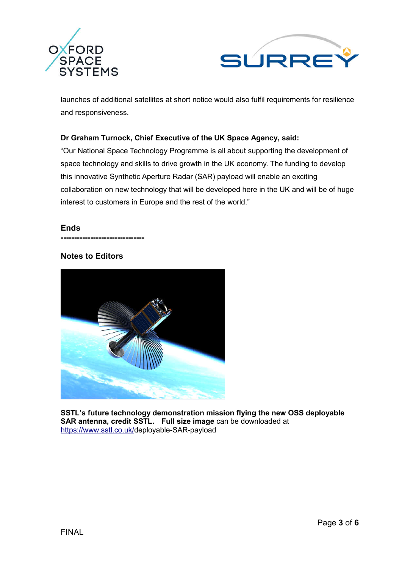



launches of additional satellites at short notice would also fulfil requirements for resilience and responsiveness.

## **Dr Graham Turnock, Chief Executive of the UK Space Agency, said:**

"Our National Space Technology Programme is all about supporting the development of space technology and skills to drive growth in the UK economy. The funding to develop this innovative Synthetic Aperture Radar (SAR) payload will enable an exciting collaboration on new technology that will be developed here in the UK and will be of huge interest to customers in Europe and the rest of the world."

### **Ends**

### **Notes to Editors**

**-------------------------------**



**SSTL's future technology demonstration mission flying the new OSS deployable SAR antenna, credit SSTL. Full size image** can be downloaded at https://www.sstl.co.uk/deployable-SAR-payload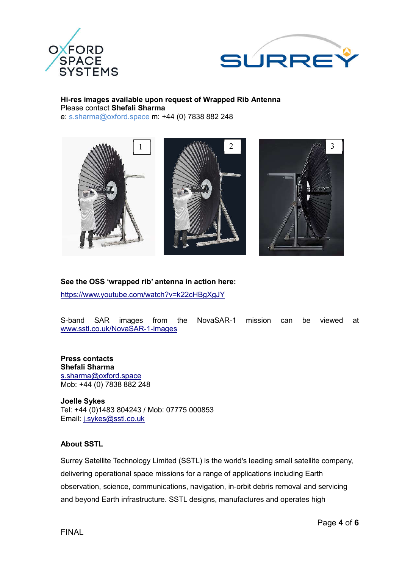



#### **Hi-res images available upon request of Wrapped Rib Antenna** Please contact **Shefali Sharma** e: s.sharma@oxford.space m: +44 (0) 7838 882 248



## **See the OSS 'wrapped rib' antenna in action here:**

https://www.youtube.com/watch?v=k22cHBgXgJY

S-band SAR images from the NovaSAR-1 mission can be viewed at www.sstl.co.uk/NovaSAR-1-images

**Press contacts Shefali Sharma** s.sharma@oxford.space Mob: +44 (0) 7838 882 248

**Joelle Sykes** Tel: +44 (0)1483 804243 / Mob: 07775 000853 Email: j.sykes@sstl.co.uk

### **About SSTL**

Surrey Satellite Technology Limited (SSTL) is the world's leading small satellite company, delivering operational space missions for a range of applications including Earth observation, science, communications, navigation, in-orbit debris removal and servicing and beyond Earth infrastructure. SSTL designs, manufactures and operates high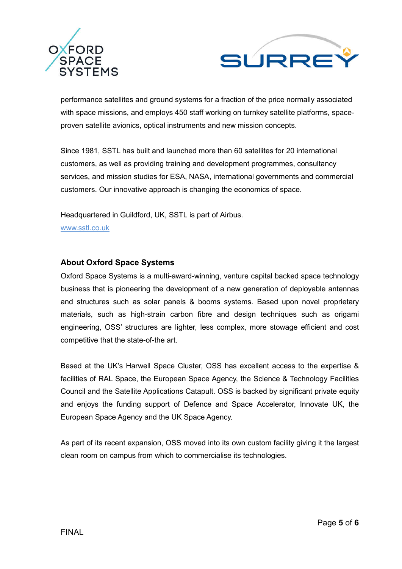



performance satellites and ground systems for a fraction of the price normally associated with space missions, and employs 450 staff working on turnkey satellite platforms, spaceproven satellite avionics, optical instruments and new mission concepts.

Since 1981, SSTL has built and launched more than 60 satellites for 20 international customers, as well as providing training and development programmes, consultancy services, and mission studies for ESA, NASA, international governments and commercial customers. Our innovative approach is changing the economics of space.

Headquartered in Guildford, UK, SSTL is part of Airbus. www.sstl.co.uk

# **About Oxford Space Systems**

Oxford Space Systems is a multi-award-winning, venture capital backed space technology business that is pioneering the development of a new generation of deployable antennas and structures such as solar panels & booms systems. Based upon novel proprietary materials, such as high-strain carbon fibre and design techniques such as origami engineering, OSS' structures are lighter, less complex, more stowage efficient and cost competitive that the state-of-the art.

Based at the UK's Harwell Space Cluster, OSS has excellent access to the expertise & facilities of RAL Space, the European Space Agency, the Science & Technology Facilities Council and the Satellite Applications Catapult. OSS is backed by significant private equity and enjoys the funding support of Defence and Space Accelerator, Innovate UK, the European Space Agency and the UK Space Agency.

As part of its recent expansion, OSS moved into its own custom facility giving it the largest clean room on campus from which to commercialise its technologies.